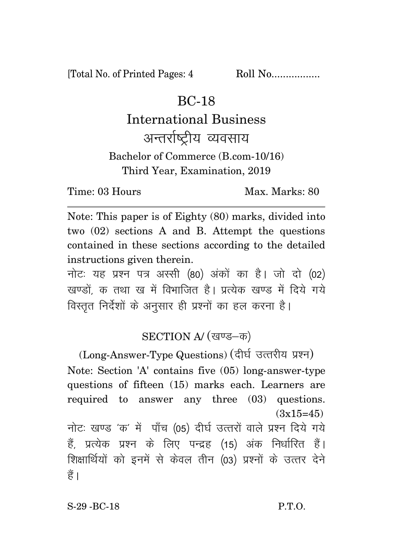[Total No. of Printed Pages: 4 Roll No..................

## BC-18

## International Business अन्तर्राष्टीय व्यवसाय Bachelor of Commerce (B.com-10/16) Third Year, Examination, 2019

Time: 03 Hours Max. Marks: 80

Note: This paper is of Eighty (80) marks, divided into two (02) sections A and B. Attempt the questions contained in these sections according to the detailed instructions given therein.

नोट: यह प्रश्न पत्र अस्सी (80) अंकों का है। जो दो (02) खण्डों क तथा ख में विभाजित है। प्रत्येक खण्ड में दिये गये विस्तृत निर्देशों के अनुसार ही प्रश्नों का हल करना है।

## SECTION A/ (खण्ड-क)

(Long-Answer-Type Questions) (दीर्घ उत्तरीय प्रश्न) Note: Section 'A' contains five (05) long-answer-type questions of fifteen (15) marks each. Learners are required to answer any three (03) questions.  $(3x15=45)$ नोटः खण्ड 'क' में पाँच (05) दीर्घ उत्तरों वाले प्रश्न दिये गये हैं, प्रत्येक प्रश्न के लिए पन्द्रह (15) अंक निर्धारित हैं। शिक्षार्थियों को इनमें से केवल तीन (03) प्रश्नों के उत्तर देने हैं ।

S-29 - BC-18 P.T.O.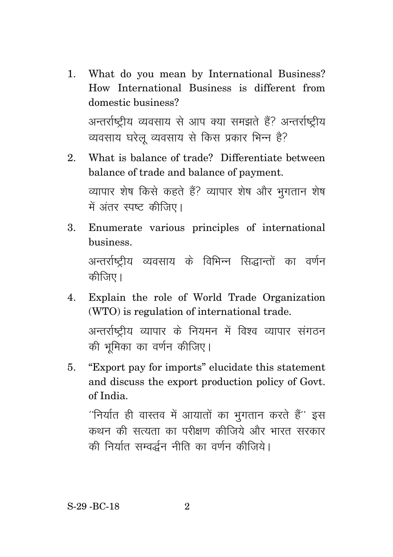- 1. What do you mean by International Business? How International Business is different from domestic business? अन्तर्राष्ट्रीय व्यवसाय से आप क्या समझते हैं? अन्तर्राष्ट्रीय व्यवसाय घरेलु व्यवसाय से किस प्रकार भिन्न है?
- 2. What is balance of trade? Differentiate between balance of trade and balance of payment. व्यापार शेष किसे कहते हैं? व्यापार शेष और भूगतान शेष में अंतर स्पष्ट कीजिए।
- 3. Enumerate various principles of international business. अन्तर्राष्ट्रीय व्यवसाय के विभिन्न सिद्धान्तों का वर्णन कीजिए।
- 4. Explain the role of World Trade Organization (WTO) is regulation of international trade.

अन्तर्राष्ट्रीय व्यापार के नियमन में विश्व व्यापार संगठन की भमिका का वर्णन कीजिए।

5. "Export pay for imports" elucidate this statement and discuss the export production policy of Govt. of India.

 $^{\prime\prime}$ निर्यात ही वास्तव में आयातों का भगतान करते हैं $^{\prime\prime}$  इस कथन की सत्यता का परीक्षण कीजिये और भारत सरकार की निर्यात सम्वर्द्धन नीति का वर्णन कीजिये।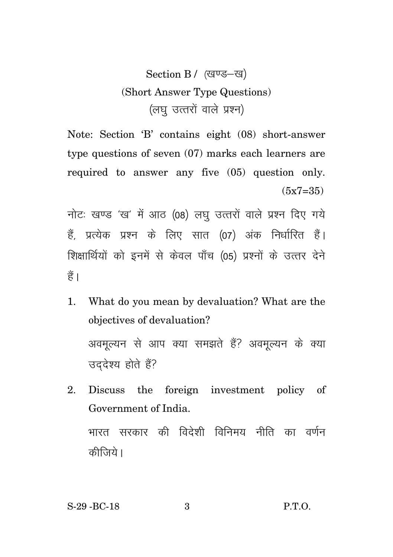Section B / (खण्ड-ख) (Short Answer Type Questions) (लघु उत्तरों वाले प्रश्न)

Note: Section 'B' contains eight (08) short-answer type questions of seven (07) marks each learners are required to answer any five (05) question only.  $(5x7=35)$ 

नोटः खण्ड 'ख' में आठ (08) लघु उत्तरों वाले प्रश्न दिए गये हैं, प्रत्येक प्रश्न के लिए सात (07) अंक निर्धारित हैं। शिक्षार्थियों को इनमें से केवल पाँच (05) प्रश्नों के उत्तर देने  $\frac{3}{5}$ 

- 1. What do you mean by devaluation? What are the objectives of devaluation? अवमुल्यन से आप क्या समझते हैं? अवमुल्यन के क्या उददेश्य होते हैं?
- 2. Discuss the foreign investment policy of Government of India. भारत सरकार की विदेशी विनिमय नीति का वर्णन कीजिये।